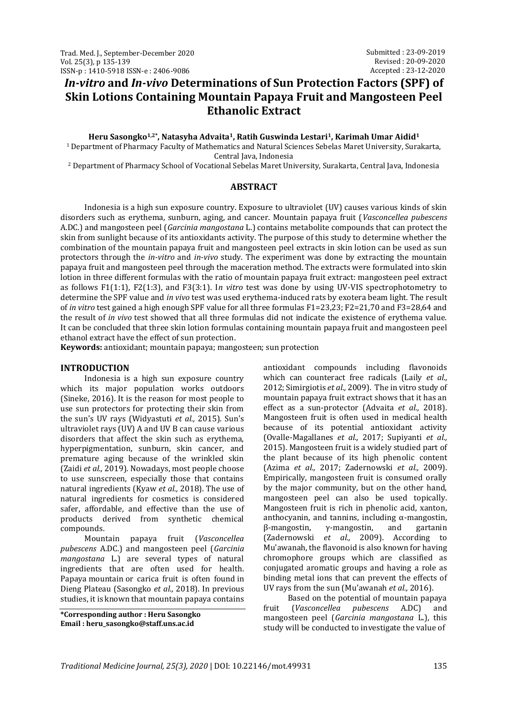# *In-vitro* **and** *In-vivo* **Determinations of Sun Protection Factors (SPF) of Skin Lotions Containing Mountain Papaya Fruit and Mangosteen Peel Ethanolic Extract**

#### **Heru Sasongko1,2\*, Natasyha Advaita1, Ratih Guswinda Lestari1, Karimah Umar Aidid<sup>1</sup>**

<sup>1</sup> Department of Pharmacy Faculty of Mathematics and Natural Sciences Sebelas Maret University, Surakarta, Central Java, Indonesia

<sup>2</sup> Department of Pharmacy School of Vocational Sebelas Maret University, Surakarta, Central Java, Indonesia

#### **ABSTRACT**

Indonesia is a high sun exposure country. Exposure to ultraviolet (UV) causes various kinds of skin disorders such as erythema, sunburn, aging, and cancer. Mountain papaya fruit (*Vasconcellea pubescens* A.DC.) and mangosteen peel (*Garcinia mangostana* L.) contains metabolite compounds that can protect the skin from sunlight because of its antioxidants activity. The purpose of this study to determine whether the combination of the mountain papaya fruit and mangosteen peel extracts in skin lotion can be used as sun protectors through the *in-vitro* and *in-vivo* study. The experiment was done by extracting the mountain papaya fruit and mangosteen peel through the maceration method. The extracts were formulated into skin lotion in three different formulas with the ratio of mountain papaya fruit extract: mangosteen peel extract as follows F1(1:1), F2(1:3), and F3(3:1). I*n vitro* test was done by using UV-VIS spectrophotometry to determine the SPF value and *in vivo* test was used erythema-induced rats by exotera beam light. The result of *in vitro* test gained a high enough SPF value for all three formulas F1=23,23; F2=21,70 and F3=28,64 and the result of *in vivo* test showed that all three formulas did not indicate the existence of erythema value. It can be concluded that three skin lotion formulas containing mountain papaya fruit and mangosteen peel ethanol extract have the effect of sun protection.

**Keywords:** antioxidant; mountain papaya; mangosteen; sun protection

## **INTRODUCTION**

Indonesia is a high sun exposure country which its major population works outdoors (Sineke, 2016). It is the reason for most people to use sun protectors for protecting their skin from the sun's UV rays (Widyastuti *et al.,* 2015). Sun's ultraviolet rays (UV) A and UV B can cause various disorders that affect the skin such as erythema, hyperpigmentation, sunburn, skin cancer, and premature aging because of the wrinkled skin (Zaidi *et al.,* 2019). Nowadays, most people choose to use sunscreen, especially those that contains natural ingredients (Kyaw *et al.,* 2018). The use of natural ingredients for cosmetics is considered safer, affordable, and effective than the use of products derived from synthetic chemical compounds.

Mountain papaya fruit (*Vasconcellea pubescens* A.DC.) and mangosteen peel (*Garcinia mangostana* L.) are several types of natural ingredients that are often used for health. Papaya mountain or carica fruit is often found in Dieng Plateau (Sasongko *et al.,* 2018). In previous studies, it is known that mountain papaya contains

**\*Corresponding author : Heru Sasongko Email : heru\_sasongko@staff.uns.ac.id**

antioxidant compounds including flavonoids which can counteract free radicals (Laily *et al.,* 2012; Simirgiotis *et al.,* 2009). The in vitro study of mountain papaya fruit extract shows that it has an effect as a sun-protector (Advaita *et al.,* 2018). Mangosteen fruit is often used in medical health because of its potential antioxidant activity (Ovalle-Magallanes *et al.,* 2017; Supiyanti *et al.,* 2015). Mangosteen fruit is a widely studied part of the plant because of its high phenolic content (Azima *et al.,* 2017; Zadernowski *et al.,* 2009). Empirically, mangosteen fruit is consumed orally by the major community, but on the other hand, mangosteen peel can also be used topically. Mangosteen fruit is rich in phenolic acid, xanton, anthocyanin, and tannins, including  $\alpha$ -mangostin, β-mangostin, γ-mangostin, and gartanin (Zadernowski *et al.,* 2009). According to Mu'awanah, the flavonoid is also known for having chromophore groups which are classified as conjugated aromatic groups and having a role as binding metal ions that can prevent the effects of UV rays from the sun (Mu'awanah *et al.,* 2016).

Based on the potential of mountain papaya fruit (*Vasconcellea pubescens* A.DC) and mangosteen peel (*Garcinia mangostana* L.), this study will be conducted to investigate the value of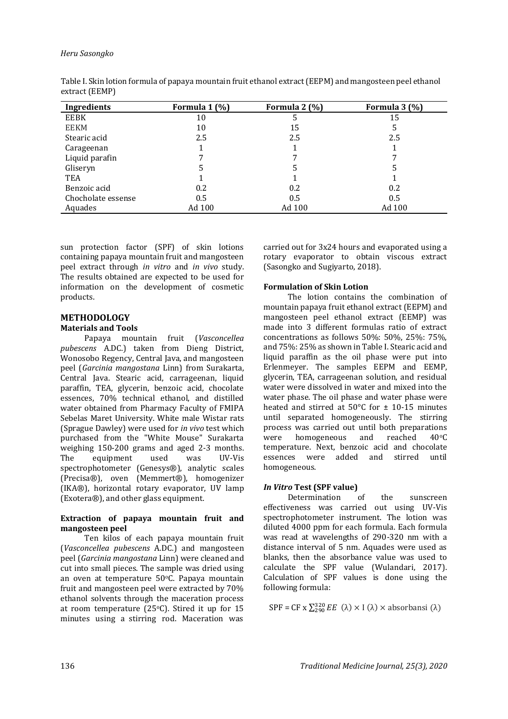#### *Heru Sasongko*

| Ingredients        | Formula 1 (%) | Formula 2 (%) | Formula 3 (%) |
|--------------------|---------------|---------------|---------------|
| EEBK               | 10            |               | 15            |
| <b>EEKM</b>        | 10            | 15            | 5             |
| Stearic acid       | 2.5           | 2.5           | 2.5           |
| Carageenan         |               |               |               |
| Liquid parafin     |               |               |               |
| Gliseryn           |               |               |               |
| TEA                |               |               |               |
| Benzoic acid       | 0.2           | 0.2           | 0.2           |
| Chocholate essense | 0.5           | 0.5           | 0.5           |
| Aquades            | Ad 100        | Ad 100        | Ad 100        |

Table I. Skin lotion formula of papaya mountain fruit ethanol extract (EEPM) and mangosteen peel ethanol extract (EEMP)

sun protection factor (SPF) of skin lotions containing papaya mountain fruit and mangosteen peel extract through *in vitro* and *in vivo* study. The results obtained are expected to be used for information on the development of cosmetic products.

# **METHODOLOGY**

#### **Materials and Tools**

Papaya mountain fruit (*Vasconcellea pubescens* A.DC.) taken from Dieng District, Wonosobo Regency, Central Java, and mangosteen peel (*Garcinia mangostana* Linn) from Surakarta, Central Java. Stearic acid, carrageenan, liquid paraffin, TEA, glycerin, benzoic acid, chocolate essences, 70% technical ethanol, and distilled water obtained from Pharmacy Faculty of FMIPA Sebelas Maret University. White male Wistar rats (Sprague Dawley) were used for *in vivo* test which purchased from the "White Mouse" Surakarta weighing 150-200 grams and aged 2-3 months. The equipment used was UV-Vis spectrophotometer (Genesys®), analytic scales (Precisa®), oven (Memmert®), homogenizer (IKA®), horizontal rotary evaporator, UV lamp (Exotera®), and other glass equipment.

#### **Extraction of papaya mountain fruit and mangosteen peel**

Ten kilos of each papaya mountain fruit (*Vasconcellea pubescens* A.DC.) and mangosteen peel (*Garcinia mangostana* Linn) were cleaned and cut into small pieces. The sample was dried using an oven at temperature 50°C. Papaya mountain fruit and mangosteen peel were extracted by 70% ethanol solvents through the maceration process at room temperature (25 $\textdegree$ C). Stired it up for 15 minutes using a stirring rod. Maceration was

carried out for 3x24 hours and evaporated using a rotary evaporator to obtain viscous extract (Sasongko and Sugiyarto, 2018).

## **Formulation of Skin Lotion**

The lotion contains the combination of mountain papaya fruit ethanol extract (EEPM) and mangosteen peel ethanol extract (EEMP) was made into 3 different formulas ratio of extract concentrations as follows 50%: 50%, 25%: 75%, and 75%: 25% as shown in Table I. Stearic acid and liquid paraffin as the oil phase were put into Erlenmeyer. The samples EEPM and EEMP, glycerin, TEA, carrageenan solution, and residual water were dissolved in water and mixed into the water phase. The oil phase and water phase were heated and stirred at  $50^{\circ}$ C for  $\pm$  10-15 minutes until separated homogeneously. The stirring process was carried out until both preparations were homogeneous and reached 40°C temperature. Next, benzoic acid and chocolate essences were added and stirred until homogeneous.

## *In Vitro* **Test (SPF value)**

Determination of the sunscreen effectiveness was carried out using UV-Vis spectrophotometer instrument. The lotion was diluted 4000 ppm for each formula. Each formula was read at wavelengths of 290-320 nm with a distance interval of 5 nm. Aquades were used as blanks, then the absorbance value was used to calculate the SPF value (Wulandari, 2017). Calculation of SPF values is done using the following formula:

 $SPF = CF \times \sum_{290}^{320} EE \, (\lambda) \times I(\lambda) \times \text{absorbansi} (\lambda)$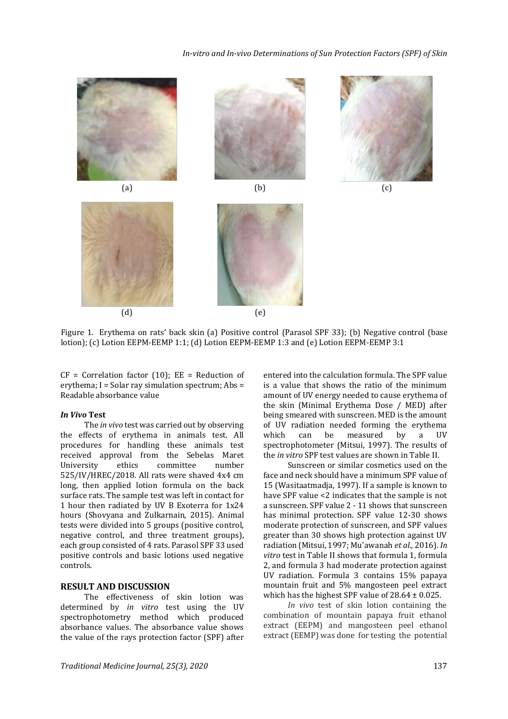









Figure 1. Erythema on rats' back skin (a) Positive control (Parasol SPF 33); (b) Negative control (base lotion); (c) Lotion EEPM-EEMP 1:1; (d) Lotion EEPM-EEMP 1:3 and (e) Lotion EEPM-EEMP 3:1

 $CF = Correlation factor (10); EE = Reduction of$ erythema; I = Solar ray simulation spectrum; Abs = Readable absorbance value

#### *In Vivo* **Test**

The *in vivo* test was carried out by observing the effects of erythema in animals test. All procedures for handling these animals test received approval from the Sebelas Maret University ethics committee number 525/IV/HREC/2018. All rats were shaved 4x4 cm long, then applied lotion formula on the back surface rats. The sample test was left in contact for 1 hour then radiated by UV B Exoterra for 1x24 hours (Shovyana and Zulkarnain, 2015). Animal tests were divided into 5 groups (positive control, negative control, and three treatment groups), each group consisted of 4 rats. Parasol SPF 33 used positive controls and basic lotions used negative controls.

# **RESULT AND DISCUSSION**

The effectiveness of skin lotion was determined by *in vitro* test using the UV spectrophotometry method which produced absorbance values. The absorbance value shows the value of the rays protection factor (SPF) after

entered into the calculation formula. The SPF value is a value that shows the ratio of the minimum amount of UV energy needed to cause erythema of the skin (Minimal Erythema Dose / MED) after being smeared with sunscreen. MED is the amount of UV radiation needed forming the erythema which can be measured by a UV spectrophotometer (Mitsui, 1997). The results of the *in vitro* SPF test values are shown in Table II.

Sunscreen or similar cosmetics used on the face and neck should have a minimum SPF value of 15 (Wasitaatmadja, 1997). If a sample is known to have SPF value <2 indicates that the sample is not a sunscreen. SPF value 2 - 11 shows that sunscreen has minimal protection. SPF value 12-30 shows moderate protection of sunscreen, and SPF values greater than 30 shows high protection against UV radiation (Mitsui, 1997; Mu'awanah *et al.,* 2016). *In vitro* test in Table II shows that formula 1, formula 2, and formula 3 had moderate protection against UV radiation. Formula 3 contains 15% papaya mountain fruit and 5% mangosteen peel extract which has the highest SPF value of  $28.64 \pm 0.025$ .

*In vivo* test of skin lotion containing the combination of mountain papaya fruit ethanol extract (EEPM) and mangosteen peel ethanol extract (EEMP) was done for testing the potential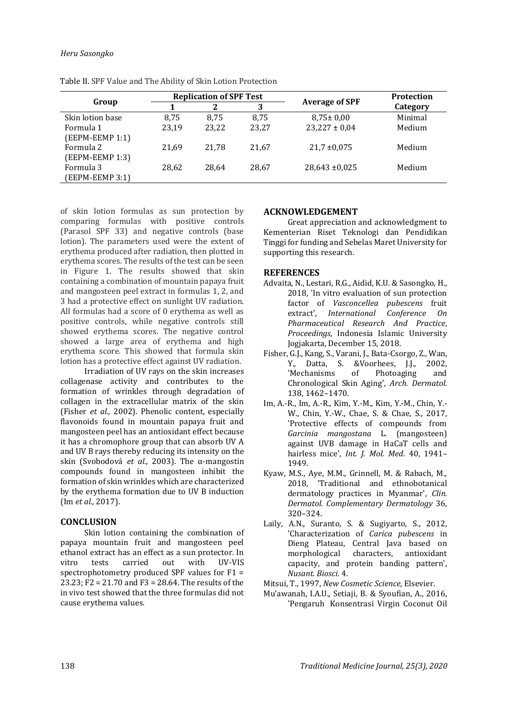#### *Heru Sasongko*

| Group                        |       | <b>Replication of SPF Test</b> |       | <b>Average of SPF</b> | <b>Protection</b> |
|------------------------------|-------|--------------------------------|-------|-----------------------|-------------------|
|                              |       |                                | 3     |                       | Category          |
| Skin lotion base             | 8,75  | 8.75                           | 8,75  | $8,75 \pm 0,00$       | Minimal           |
| Formula 1<br>(EEPM-EEMP 1:1) | 23,19 | 23,22                          | 23,27 | $23,227 \pm 0,04$     | Medium            |
| Formula 2<br>(EEPM-EEMP 1:3) | 21.69 | 21,78                          | 21.67 | $21,7 \pm 0,075$      | Medium            |
| Formula 3<br>(EEPM-EEMP 3:1) | 28,62 | 28,64                          | 28,67 | $28,643 \pm 0,025$    | Medium            |

Table II. SPF Value and The Ability of Skin Lotion Protection

of skin lotion formulas as sun protection by comparing formulas with positive controls (Parasol SPF 33) and negative controls (base lotion). The parameters used were the extent of erythema produced after radiation, then plotted in erythema scores. The results of the test can be seen in Figure 1. The results showed that skin containing a combination of mountain papaya fruit and mangosteen peel extract in formulas 1, 2, and 3 had a protective effect on sunlight UV radiation. All formulas had a score of 0 erythema as well as positive controls, while negative controls still showed erythema scores. The negative control showed a large area of erythema and high erythema score. This showed that formula skin lotion has a protective effect against UV radiation.

Irradiation of UV rays on the skin increases collagenase activity and contributes to the formation of wrinkles through degradation of collagen in the extracellular matrix of the skin (Fisher *et al.,* 2002). Phenolic content, especially flavonoids found in mountain papaya fruit and mangosteen peel has an antioxidant effect because it has a chromophore group that can absorb UV A and UV B rays thereby reducing its intensity on the skin (Svobodová *et al.,* 2003). The α-mangostin compounds found in mangosteen inhibit the formation of skin wrinkles which are characterized by the erythema formation due to UV B induction (Im *et al.,* 2017).

## **CONCLUSION**

Skin lotion containing the combination of papaya mountain fruit and mangosteen peel ethanol extract has an effect as a sun protector. In vitro tests carried out with UV-VIS spectrophotometry produced SPF values for F1 = 23.23; F2 = 21.70 and F3 = 28.64. The results of the in vivo test showed that the three formulas did not cause erythema values.

# **ACKNOWLEDGEMENT**

Great appreciation and acknowledgment to Kementerian Riset Teknologi dan Pendidikan Tinggi for funding and Sebelas Maret University for supporting this research.

# **REFERENCES**

- Advaita, N., Lestari, R.G., Aidid, K.U. & Sasongko, H., 2018, 'In vitro evaluation of sun protection factor of *Vasconcellea pubescens* fruit extract', *International Conference On Pharmaceutical Research And Practice*, *Proceedings,* Indonesia Islamic University Jogjakarta, December 15, 2018.
- Fisher, G.J., Kang, S., Varani, J., Bata-Csorgo, Z., Wan, Y., Datta, S. &Voorhees, J.J., 2002, 'Mechanisms of Photoaging and Chronological Skin Aging', *Arch. Dermatol.* 138, 1462–1470.
- Im, A.-R., Im, A.-R., Kim, Y.-M., Kim, Y.-M., Chin, Y.- W., Chin, Y.-W., Chae, S. & Chae, S., 2017, 'Protective effects of compounds from *Garcinia mangostana* L. (mangosteen) against UVB damage in HaCaT cells and hairless mice', *Int. J. Mol. Med*. 40, 1941– 1949.
- Kyaw, M.S., Aye, M.M., Grinnell, M. & Rabach, M., 2018, 'Traditional and ethnobotanical dermatology practices in Myanmar', *Clin. Dermatol. Complementary Dermatology* 36, 320–324.
- Laily, A.N., Suranto, S. & Sugiyarto, S., 2012, 'Characterization of *Carica pubescens* in Dieng Plateau, Central Java based on morphological characters, antioxidant capacity, and protein banding pattern', *Nusant. Biosci*. 4.

Mitsui, T., 1997, *New Cosmetic Science*, Elsevier.

Mu'awanah, I.A.U., Setiaji, B. & Syoufian, A., 2016, 'Pengaruh Konsentrasi Virgin Coconut Oil